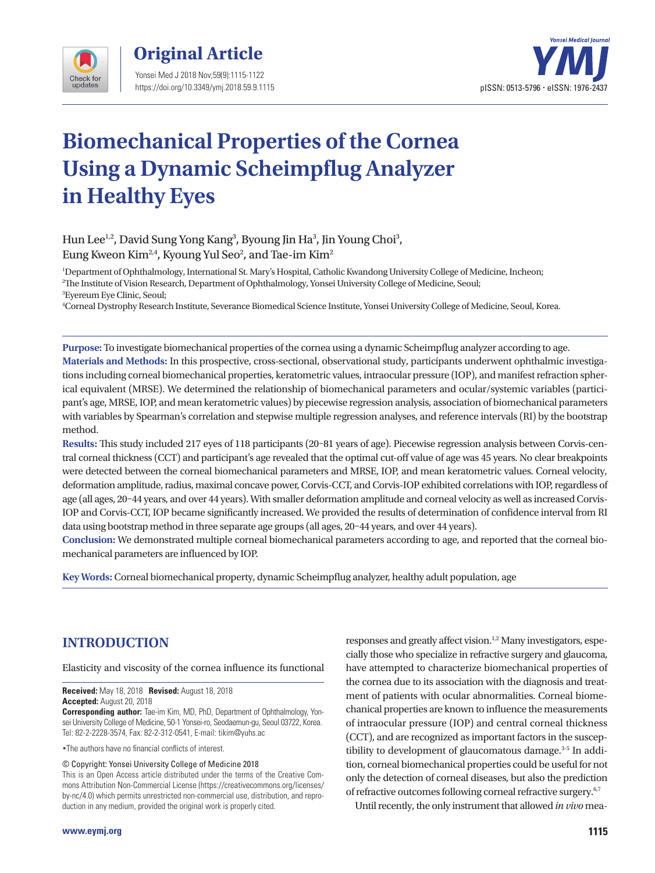



# **Biomechanical Properties of the Cornea Using a Dynamic Scheimpflug Analyzer in Healthy Eyes**

Hun Lee $^{\rm l,2}$ , David Sung Yong Kang $^3$ , Byoung Jin Ha $^3$ , Jin Young Choi $^3$ , Eung Kweon Kim $^{2,4}$ , Kyoung Yul Seo $^{2}$ , and Tae-im Kim $^{2}$ 

1 Department of Ophthalmology, International St. Mary's Hospital, Catholic Kwandong University College of Medicine, Incheon; 2 The Institute of Vision Research, Department of Ophthalmology, Yonsei University College of Medicine, Seoul; 3 Eyereum Eye Clinic, Seoul;

4 Corneal Dystrophy Research Institute, Severance Biomedical Science Institute, Yonsei University College of Medicine, Seoul, Korea.

**Purpose:** To investigate biomechanical properties of the cornea using a dynamic Scheimpflug analyzer according to age. **Materials and Methods:** In this prospective, cross-sectional, observational study, participants underwent ophthalmic investigations including corneal biomechanical properties, keratometric values, intraocular pressure (IOP), and manifest refraction spherical equivalent (MRSE). We determined the relationship of biomechanical parameters and ocular/systemic variables (participant's age, MRSE, IOP, and mean keratometric values) by piecewise regression analysis, association of biomechanical parameters with variables by Spearman's correlation and stepwise multiple regression analyses, and reference intervals (RI) by the bootstrap method.

**Results:** This study included 217 eyes of 118 participants (20–81 years of age). Piecewise regression analysis between Corvis-central corneal thickness (CCT) and participant's age revealed that the optimal cut-off value of age was 45 years. No clear breakpoints were detected between the corneal biomechanical parameters and MRSE, IOP, and mean keratometric values. Corneal velocity, deformation amplitude, radius, maximal concave power, Corvis-CCT, and Corvis-IOP exhibited correlations with IOP, regardless of age (all ages, 20–44 years, and over 44 years). With smaller deformation amplitude and corneal velocity as well as increased Corvis-IOP and Corvis-CCT, IOP became significantly increased. We provided the results of determination of confidence interval from RI data using bootstrap method in three separate age groups (all ages, 20–44 years, and over 44 years).

**Conclusion:** We demonstrated multiple corneal biomechanical parameters according to age, and reported that the corneal biomechanical parameters are influenced by IOP.

**Key Words:** Corneal biomechanical property, dynamic Scheimpflug analyzer, healthy adult population, age

## **INTRODUCTION**

Elasticity and viscosity of the cornea influence its functional

**Received:** May 18, 2018 **Revised:** August 18, 2018 **Accepted:** August 20, 2018

**Corresponding author:** Tae-im Kim, MD, PhD, Department of Ophthalmology, Yonsei University College of Medicine, 50-1 Yonsei-ro, Seodaemun-gu, Seoul 03722, Korea. Tel: 82-2-2228-3574, Fax: 82-2-312-0541, E-mail: tikim@yuhs.ac

•The authors have no financial conflicts of interest.

© Copyright: Yonsei University College of Medicine 2018

This is an Open Access article distributed under the terms of the Creative Commons Attribution Non-Commercial License (https://creativecommons.org/licenses/ by-nc/4.0) which permits unrestricted non-commercial use, distribution, and reproduction in any medium, provided the original work is properly cited.

responses and greatly affect vision.<sup>1,2</sup> Many investigators, especially those who specialize in refractive surgery and glaucoma, have attempted to characterize biomechanical properties of the cornea due to its association with the diagnosis and treatment of patients with ocular abnormalities. Corneal biomechanical properties are known to influence the measurements of intraocular pressure (IOP) and central corneal thickness (CCT), and are recognized as important factors in the susceptibility to development of glaucomatous damage. $3-5$  In addition, corneal biomechanical properties could be useful for not only the detection of corneal diseases, but also the prediction of refractive outcomes following corneal refractive surgery.<sup>6,7</sup>

Until recently, the only instrument that allowed *in vivo* mea-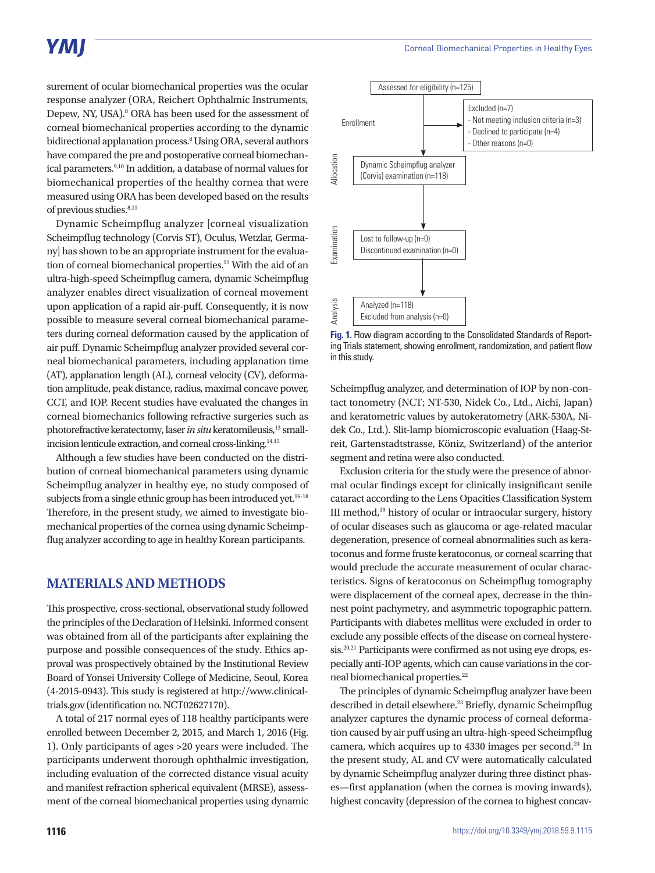## **YMI**

surement of ocular biomechanical properties was the ocular response analyzer (ORA, Reichert Ophthalmic Instruments, Depew, NY, USA).<sup>8</sup> ORA has been used for the assessment of corneal biomechanical properties according to the dynamic bidirectional applanation process.<sup>8</sup> Using ORA, several authors have compared the pre and postoperative corneal biomechanical parameters.9,10 In addition, a database of normal values for biomechanical properties of the healthy cornea that were measured using ORA has been developed based on the results of previous studies.<sup>8,11</sup>

Dynamic Scheimpflug analyzer [corneal visualization Scheimpflug technology (Corvis ST), Oculus, Wetzlar, Germany] has shown to be an appropriate instrument for the evaluation of corneal biomechanical properties.<sup>12</sup> With the aid of an ultra-high-speed Scheimpflug camera, dynamic Scheimpflug analyzer enables direct visualization of corneal movement upon application of a rapid air-puff. Consequently, it is now possible to measure several corneal biomechanical parameters during corneal deformation caused by the application of air puff. Dynamic Scheimpflug analyzer provided several corneal biomechanical parameters, including applanation time (AT), applanation length (AL), corneal velocity (CV), deformation amplitude, peak distance, radius, maximal concave power, CCT, and IOP. Recent studies have evaluated the changes in corneal biomechanics following refractive surgeries such as photorefractive keratectomy, laser *in situ* keratomileusis,<sup>13</sup> smallincision lenticule extraction, and corneal cross-linking.<sup>14,15</sup>

Although a few studies have been conducted on the distribution of corneal biomechanical parameters using dynamic Scheimpflug analyzer in healthy eye, no study composed of subjects from a single ethnic group has been introduced yet.<sup>16-18</sup> Therefore, in the present study, we aimed to investigate biomechanical properties of the cornea using dynamic Scheimpflug analyzer according to age in healthy Korean participants.

## **MATERIALS AND METHODS**

This prospective, cross-sectional, observational study followed the principles of the Declaration of Helsinki. Informed consent was obtained from all of the participants after explaining the purpose and possible consequences of the study. Ethics approval was prospectively obtained by the Institutional Review Board of Yonsei University College of Medicine, Seoul, Korea (4-2015-0943). This study is registered at http://www.clinicaltrials.gov (identification no. NCT02627170).

A total of 217 normal eyes of 118 healthy participants were enrolled between December 2, 2015, and March 1, 2016 (Fig. 1). Only participants of ages >20 years were included. The participants underwent thorough ophthalmic investigation, including evaluation of the corrected distance visual acuity and manifest refraction spherical equivalent (MRSE), assessment of the corneal biomechanical properties using dynamic



**Fig. 1.** Flow diagram according to the Consolidated Standards of Reporting Trials statement, showing enrollment, randomization, and patient flow in this study.

Scheimpflug analyzer, and determination of IOP by non-contact tonometry (NCT; NT-530, Nidek Co., Ltd., Aichi, Japan) and keratometric values by autokeratometry (ARK-530A, Nidek Co., Ltd.). Slit-lamp biomicroscopic evaluation (Haag-Streit, Gartenstadtstrasse, Köniz, Switzerland) of the anterior segment and retina were also conducted.

Exclusion criteria for the study were the presence of abnormal ocular findings except for clinically insignificant senile cataract according to the Lens Opacities Classification System III method,19 history of ocular or intraocular surgery, history of ocular diseases such as glaucoma or age-related macular degeneration, presence of corneal abnormalities such as keratoconus and forme fruste keratoconus, or corneal scarring that would preclude the accurate measurement of ocular characteristics. Signs of keratoconus on Scheimpflug tomography were displacement of the corneal apex, decrease in the thinnest point pachymetry, and asymmetric topographic pattern. Participants with diabetes mellitus were excluded in order to exclude any possible effects of the disease on corneal hysteresis.<sup>20,21</sup> Participants were confirmed as not using eye drops, especially anti-IOP agents, which can cause variations in the corneal biomechanical properties.<sup>22</sup>

The principles of dynamic Scheimpflug analyzer have been described in detail elsewhere.<sup>23</sup> Briefly, dynamic Scheimpflug analyzer captures the dynamic process of corneal deformation caused by air puff using an ultra-high-speed Scheimpflug camera, which acquires up to 4330 images per second.<sup>24</sup> In the present study, AL and CV were automatically calculated by dynamic Scheimpflug analyzer during three distinct phases—first applanation (when the cornea is moving inwards), highest concavity (depression of the cornea to highest concav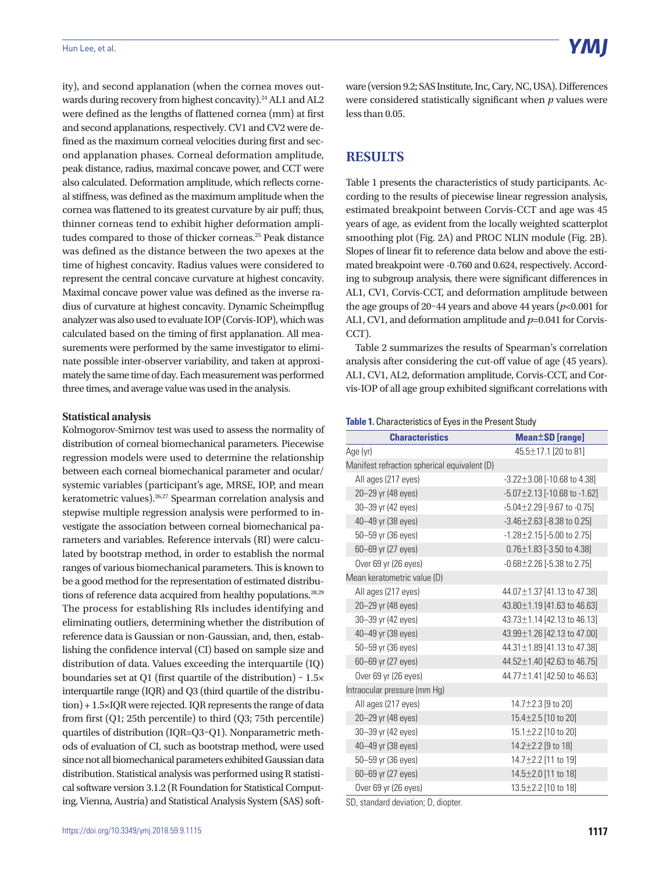ity), and second applanation (when the cornea moves outwards during recovery from highest concavity).<sup>24</sup> AL1 and AL2 were defined as the lengths of flattened cornea (mm) at first and second applanations, respectively. CV1 and CV2 were defined as the maximum corneal velocities during first and second applanation phases. Corneal deformation amplitude, peak distance, radius, maximal concave power, and CCT were also calculated. Deformation amplitude, which reflects corneal stiffness, was defined as the maximum amplitude when the cornea was flattened to its greatest curvature by air puff; thus, thinner corneas tend to exhibit higher deformation amplitudes compared to those of thicker corneas.<sup>25</sup> Peak distance was defined as the distance between the two apexes at the time of highest concavity. Radius values were considered to represent the central concave curvature at highest concavity. Maximal concave power value was defined as the inverse radius of curvature at highest concavity. Dynamic Scheimpflug analyzer was also used to evaluate IOP (Corvis-IOP), which was calculated based on the timing of first applanation. All measurements were performed by the same investigator to eliminate possible inter-observer variability, and taken at approximately the same time of day. Each measurement was performed three times, and average value was used in the analysis.

#### **Statistical analysis**

Kolmogorov-Smirnov test was used to assess the normality of distribution of corneal biomechanical parameters. Piecewise regression models were used to determine the relationship between each corneal biomechanical parameter and ocular/ systemic variables (participant's age, MRSE, IOP, and mean keratometric values).<sup>26,27</sup> Spearman correlation analysis and stepwise multiple regression analysis were performed to investigate the association between corneal biomechanical parameters and variables. Reference intervals (RI) were calculated by bootstrap method, in order to establish the normal ranges of various biomechanical parameters. This is known to be a good method for the representation of estimated distributions of reference data acquired from healthy populations.<sup>28,29</sup> The process for establishing RIs includes identifying and eliminating outliers, determining whether the distribution of reference data is Gaussian or non-Gaussian, and, then, establishing the confidence interval (CI) based on sample size and distribution of data. Values exceeding the interquartile (IQ) boundaries set at Q1 (first quartile of the distribution) – 1.5× interquartile range (IQR) and Q3 (third quartile of the distribution) + 1.5×IQR were rejected. IQR represents the range of data from first (Q1; 25th percentile) to third (Q3; 75th percentile) quartiles of distribution (IQR=Q3–Q1). Nonparametric methods of evaluation of CI, such as bootstrap method, were used since not all biomechanical parameters exhibited Gaussian data distribution. Statistical analysis was performed using R statistical software version 3.1.2 (R Foundation for Statistical Computing, Vienna, Austria) and Statistical Analysis System (SAS) software (version 9.2; SAS Institute, Inc, Cary, NC, USA). Differences were considered statistically significant when *p* values were less than 0.05.

## **RESULTS**

Table 1 presents the characteristics of study participants. According to the results of piecewise linear regression analysis, estimated breakpoint between Corvis-CCT and age was 45 years of age, as evident from the locally weighted scatterplot smoothing plot (Fig. 2A) and PROC NLIN module (Fig. 2B). Slopes of linear fit to reference data below and above the estimated breakpoint were -0.760 and 0.624, respectively. According to subgroup analysis, there were significant differences in AL1, CV1, Corvis-CCT, and deformation amplitude between the age groups of 20-44 years and above 44 years  $(p<0.001$  for AL1, CV1, and deformation amplitude and *p*=0.041 for Corvis-CCT).

Table 2 summarizes the results of Spearman's correlation analysis after considering the cut-off value of age (45 years). AL1, CV1, AL2, deformation amplitude, Corvis-CCT, and Corvis-IOP of all age group exhibited significant correlations with

#### **Table 1.** Characteristics of Eyes in the Present Study

| <b>Characteristics</b>                       | <b>Mean</b> <sup>±</sup> SD [range]     |
|----------------------------------------------|-----------------------------------------|
| Age (yr)                                     | 45.5±17.1 [20 to 81]                    |
| Manifest refraction spherical equivalent (D) |                                         |
| All ages (217 eyes)                          | $-3.22 \pm 3.08$ [-10.68 to 4.38]       |
| 20-29 yr (48 eyes)                           | $-5.07 \pm 2.13$ [-10.68 to -1.62]      |
| 30-39 yr (42 eyes)                           | $-5.04 \pm 2.29$ [ $-9.67$ to $-0.75$ ] |
| 40-49 yr (38 eyes)                           | $-3.46 \pm 2.63$ [ $-8.38$ to 0.25]     |
| 50–59 yr (36 eyes)                           | $-1.28 \pm 2.15$ [ $-5.00$ to 2.75]     |
| 60-69 yr (27 eyes)                           | $0.76 \pm 1.83$ [-3.50 to 4.38]         |
| Over 69 yr (26 eyes)                         | $-0.68 \pm 2.26$ [ $-5.38$ to 2.75]     |
| Mean keratometric value (D)                  |                                         |
| All ages (217 eyes)                          | 44.07±1.37 [41.13 to 47.38]             |
| 20-29 yr (48 eyes)                           | 43.80±1.19 [41.63 to 46.63]             |
| 30-39 yr (42 eyes)                           | 43.73±1.14 [42.13 to 46.13]             |
| 40-49 yr (38 eyes)                           | 43.99±1.26 [42.13 to 47.00]             |
| 50-59 yr (36 eyes)                           | 44.31±1.89 [41.13 to 47.38]             |
| 60–69 yr (27 eyes)                           | 44.52±1.40 [42.63 to 46.75]             |
| Over 69 yr (26 eyes)                         | 44.77±1.41 [42.50 to 46.63]             |
| Intraocular pressure (mm Hg)                 |                                         |
| All ages (217 eyes)                          | 14.7±2.3 [9 to 20]                      |
| 20–29 yr (48 eyes)                           | 15.4±2.5 [10 to 20]                     |
| 30-39 yr (42 eyes)                           | 15.1±2.2 [10 to 20]                     |
| 40-49 yr (38 eyes)                           | 14.2±2.2 [9 to 18]                      |
| 50–59 yr (36 eyes)                           | 14.7±2.2 [11 to 19]                     |
| 60-69 yr (27 eyes)                           | 14.5±2.0 [11 to 18]                     |
| Over 69 yr (26 eyes)                         | 13.5±2.2 [10 to 18]                     |

SD, standard deviation; D, diopter.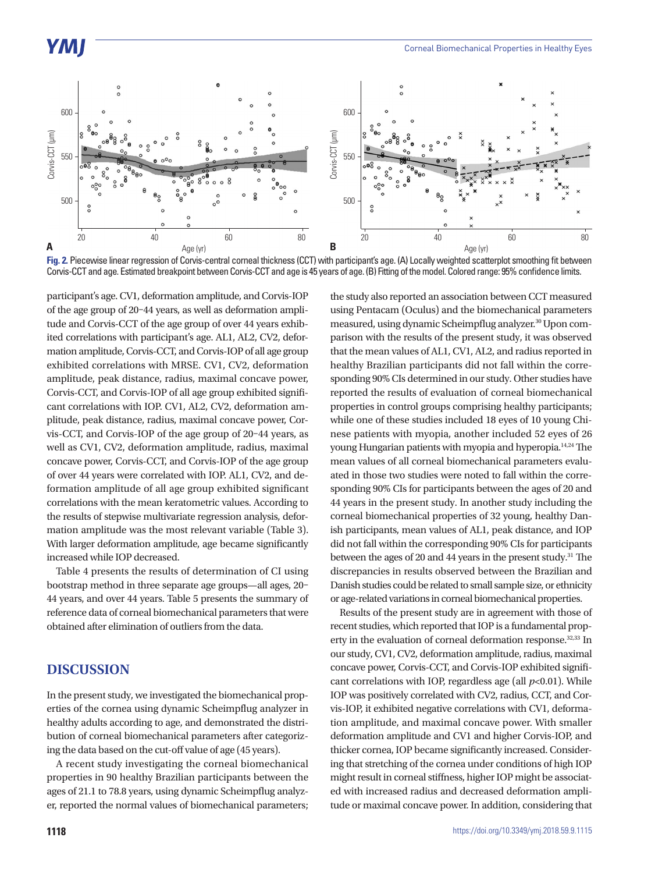

**Fig. 2.** Piecewise linear regression of Corvis-central corneal thickness (CCT) with participant's age. (A) Locally weighted scatterplot smoothing fit between Corvis-CCT and age. Estimated breakpoint between Corvis-CCT and age is 45 years of age. (B) Fitting of the model. Colored range: 95% confidence limits.

participant's age. CV1, deformation amplitude, and Corvis-IOP of the age group of 20–44 years, as well as deformation amplitude and Corvis-CCT of the age group of over 44 years exhibited correlations with participant's age. AL1, AL2, CV2, deformation amplitude, Corvis-CCT, and Corvis-IOP of all age group exhibited correlations with MRSE. CV1, CV2, deformation amplitude, peak distance, radius, maximal concave power, Corvis-CCT, and Corvis-IOP of all age group exhibited significant correlations with IOP. CV1, AL2, CV2, deformation amplitude, peak distance, radius, maximal concave power, Corvis-CCT, and Corvis-IOP of the age group of 20–44 years, as well as CV1, CV2, deformation amplitude, radius, maximal concave power, Corvis-CCT, and Corvis-IOP of the age group of over 44 years were correlated with IOP. AL1, CV2, and deformation amplitude of all age group exhibited significant correlations with the mean keratometric values. According to the results of stepwise multivariate regression analysis, deformation amplitude was the most relevant variable (Table 3). With larger deformation amplitude, age became significantly increased while IOP decreased.

Table 4 presents the results of determination of CI using bootstrap method in three separate age groups—all ages, 20– 44 years, and over 44 years. Table 5 presents the summary of reference data of corneal biomechanical parameters that were obtained after elimination of outliers from the data.

## **DISCUSSION**

In the present study, we investigated the biomechanical properties of the cornea using dynamic Scheimpflug analyzer in healthy adults according to age, and demonstrated the distribution of corneal biomechanical parameters after categorizing the data based on the cut-off value of age (45 years).

A recent study investigating the corneal biomechanical properties in 90 healthy Brazilian participants between the ages of 21.1 to 78.8 years, using dynamic Scheimpflug analyzer, reported the normal values of biomechanical parameters;

the study also reported an association between CCT measured using Pentacam (Oculus) and the biomechanical parameters measured, using dynamic Scheimpflug analyzer.<sup>30</sup> Upon comparison with the results of the present study, it was observed that the mean values of AL1, CV1, AL2, and radius reported in healthy Brazilian participants did not fall within the corresponding 90% CIs determined in our study. Other studies have reported the results of evaluation of corneal biomechanical properties in control groups comprising healthy participants; while one of these studies included 18 eyes of 10 young Chinese patients with myopia, another included 52 eyes of 26 young Hungarian patients with myopia and hyperopia.14,24 The mean values of all corneal biomechanical parameters evaluated in those two studies were noted to fall within the corresponding 90% CIs for participants between the ages of 20 and 44 years in the present study. In another study including the corneal biomechanical properties of 32 young, healthy Danish participants, mean values of AL1, peak distance, and IOP did not fall within the corresponding 90% CIs for participants between the ages of 20 and 44 years in the present study.<sup>31</sup> The discrepancies in results observed between the Brazilian and Danish studies could be related to small sample size, or ethnicity or age-related variations in corneal biomechanical properties.

Results of the present study are in agreement with those of recent studies, which reported that IOP is a fundamental property in the evaluation of corneal deformation response.<sup>32,33</sup> In our study, CV1, CV2, deformation amplitude, radius, maximal concave power, Corvis-CCT, and Corvis-IOP exhibited significant correlations with IOP, regardless age (all  $p<0.01$ ). While IOP was positively correlated with CV2, radius, CCT, and Corvis-IOP, it exhibited negative correlations with CV1, deformation amplitude, and maximal concave power. With smaller deformation amplitude and CV1 and higher Corvis-IOP, and thicker cornea, IOP became significantly increased. Considering that stretching of the cornea under conditions of high IOP might result in corneal stiffness, higher IOP might be associated with increased radius and decreased deformation amplitude or maximal concave power. In addition, considering that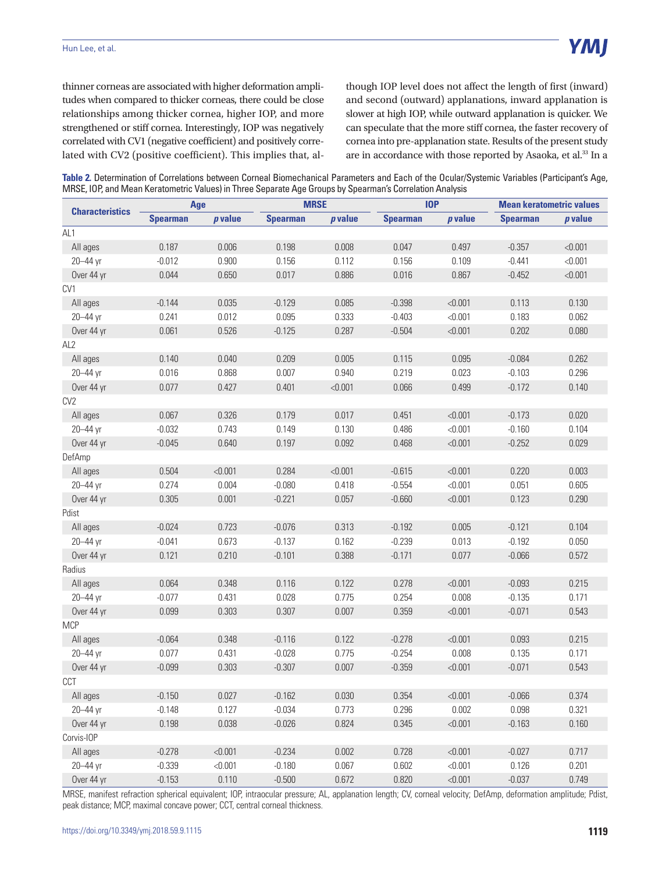thinner corneas are associated with higher deformation amplitudes when compared to thicker corneas, there could be close relationships among thicker cornea, higher IOP, and more strengthened or stiff cornea. Interestingly, IOP was negatively correlated with CV1 (negative coefficient) and positively correlated with CV2 (positive coefficient). This implies that, although IOP level does not affect the length of first (inward) and second (outward) applanations, inward applanation is slower at high IOP, while outward applanation is quicker. We can speculate that the more stiff cornea, the faster recovery of cornea into pre-applanation state. Results of the present study are in accordance with those reported by Asaoka, et al.<sup>33</sup> In a

| Table 2. Determination of Correlations between Corneal Biomechanical Parameters and Each of the Ocular/Systemic Variables (Participant's Age, |
|-----------------------------------------------------------------------------------------------------------------------------------------------|
| MRSE, IOP, and Mean Keratometric Values) in Three Separate Age Groups by Spearman's Correlation Analysis                                      |

| <b>Characteristics</b> | Age             |           | <b>MRSE</b>     |           | <b>IOP</b>      |           | <b>Mean keratometric values</b> |           |
|------------------------|-----------------|-----------|-----------------|-----------|-----------------|-----------|---------------------------------|-----------|
|                        | <b>Spearman</b> | $p$ value | <b>Spearman</b> | $p$ value | <b>Spearman</b> | $p$ value | <b>Spearman</b>                 | $p$ value |
| AL1                    |                 |           |                 |           |                 |           |                                 |           |
| All ages               | 0.187           | 0.006     | 0.198           | 0.008     | 0.047           | 0.497     | $-0.357$                        | < 0.001   |
| 20-44 yr               | $-0.012$        | 0.900     | 0.156           | 0.112     | 0.156           | 0.109     | $-0.441$                        | < 0.001   |
| Over 44 yr             | 0.044           | 0.650     | 0.017           | 0.886     | 0.016           | 0.867     | $-0.452$                        | < 0.001   |
| CV1                    |                 |           |                 |           |                 |           |                                 |           |
| All ages               | $-0.144$        | 0.035     | $-0.129$        | 0.085     | $-0.398$        | < 0.001   | 0.113                           | 0.130     |
| 20-44 yr               | 0.241           | 0.012     | 0.095           | 0.333     | $-0.403$        | < 0.001   | 0.183                           | 0.062     |
| Over 44 yr             | 0.061           | 0.526     | $-0.125$        | 0.287     | $-0.504$        | < 0.001   | 0.202                           | 0.080     |
| AL <sub>2</sub>        |                 |           |                 |           |                 |           |                                 |           |
| All ages               | 0.140           | 0.040     | 0.209           | 0.005     | 0.115           | 0.095     | $-0.084$                        | 0.262     |
| 20-44 yr               | 0.016           | 0.868     | 0.007           | 0.940     | 0.219           | 0.023     | $-0.103$                        | 0.296     |
| Over 44 yr             | 0.077           | 0.427     | 0.401           | < 0.001   | 0.066           | 0.499     | $-0.172$                        | 0.140     |
| CV <sub>2</sub>        |                 |           |                 |           |                 |           |                                 |           |
| All ages               | 0.067           | 0.326     | 0.179           | 0.017     | 0.451           | < 0.001   | $-0.173$                        | 0.020     |
| 20-44 yr               | $-0.032$        | 0.743     | 0.149           | 0.130     | 0.486           | < 0.001   | $-0.160$                        | 0.104     |
| Over 44 yr             | $-0.045$        | 0.640     | 0.197           | 0.092     | 0.468           | < 0.001   | $-0.252$                        | 0.029     |
| DefAmp                 |                 |           |                 |           |                 |           |                                 |           |
| All ages               | 0.504           | < 0.001   | 0.284           | < 0.001   | $-0.615$        | < 0.001   | 0.220                           | 0.003     |
| 20-44 yr               | 0.274           | 0.004     | $-0.080$        | 0.418     | $-0.554$        | < 0.001   | 0.051                           | 0.605     |
| Over 44 yr             | 0.305           | 0.001     | $-0.221$        | 0.057     | $-0.660$        | < 0.001   | 0.123                           | 0.290     |
| Pdist                  |                 |           |                 |           |                 |           |                                 |           |
| All ages               | $-0.024$        | 0.723     | $-0.076$        | 0.313     | $-0.192$        | 0.005     | $-0.121$                        | 0.104     |
| 20-44 yr               | $-0.041$        | 0.673     | $-0.137$        | 0.162     | $-0.239$        | 0.013     | $-0.192$                        | 0.050     |
| Over 44 yr             | 0.121           | 0.210     | $-0.101$        | 0.388     | $-0.171$        | 0.077     | $-0.066$                        | 0.572     |
| Radius                 |                 |           |                 |           |                 |           |                                 |           |
| All ages               | 0.064           | 0.348     | 0.116           | 0.122     | 0.278           | < 0.001   | $-0.093$                        | 0.215     |
| 20-44 yr               | $-0.077$        | 0.431     | 0.028           | 0.775     | 0.254           | 0.008     | $-0.135$                        | 0.171     |
| Over 44 yr             | 0.099           | 0.303     | 0.307           | 0.007     | 0.359           | < 0.001   | $-0.071$                        | 0.543     |
| <b>MCP</b>             |                 |           |                 |           |                 |           |                                 |           |
| All ages               | $-0.064$        | 0.348     | $-0.116$        | 0.122     | $-0.278$        | < 0.001   | 0.093                           | 0.215     |
| 20-44 yr               | 0.077           | 0.431     | $-0.028$        | 0.775     | $-0.254$        | 0.008     | 0.135                           | 0.171     |
| Over 44 yr             | $-0.099$        | 0.303     | $-0.307$        | 0.007     | $-0.359$        | < 0.001   | $-0.071$                        | 0.543     |
| CCT                    |                 |           |                 |           |                 |           |                                 |           |
| All ages               | $-0.150$        | 0.027     | $-0.162$        | 0.030     | 0.354           | < 0.001   | $-0.066$                        | 0.374     |
| 20-44 yr               | $-0.148$        | 0.127     | $-0.034$        | 0.773     | 0.296           | 0.002     | 0.098                           | 0.321     |
| Over 44 yr             | 0.198           | 0.038     | $-0.026$        | 0.824     | 0.345           | < 0.001   | $-0.163$                        | 0.160     |
| Corvis-IOP             |                 |           |                 |           |                 |           |                                 |           |
| All ages               | $-0.278$        | < 0.001   | $-0.234$        | 0.002     | 0.728           | < 0.001   | $-0.027$                        | 0.717     |
| 20-44 yr               | $-0.339$        | < 0.001   | $-0.180$        | 0.067     | 0.602           | < 0.001   | 0.126                           | 0.201     |
| Over 44 yr             | $-0.153$        | 0.110     | $-0.500$        | 0.672     | 0.820           | < 0.001   | $-0.037$                        | 0.749     |

MRSE, manifest refraction spherical equivalent; IOP, intraocular pressure; AL, applanation length; CV, corneal velocity; DefAmp, deformation amplitude; Pdist, peak distance; MCP, maximal concave power; CCT, central corneal thickness.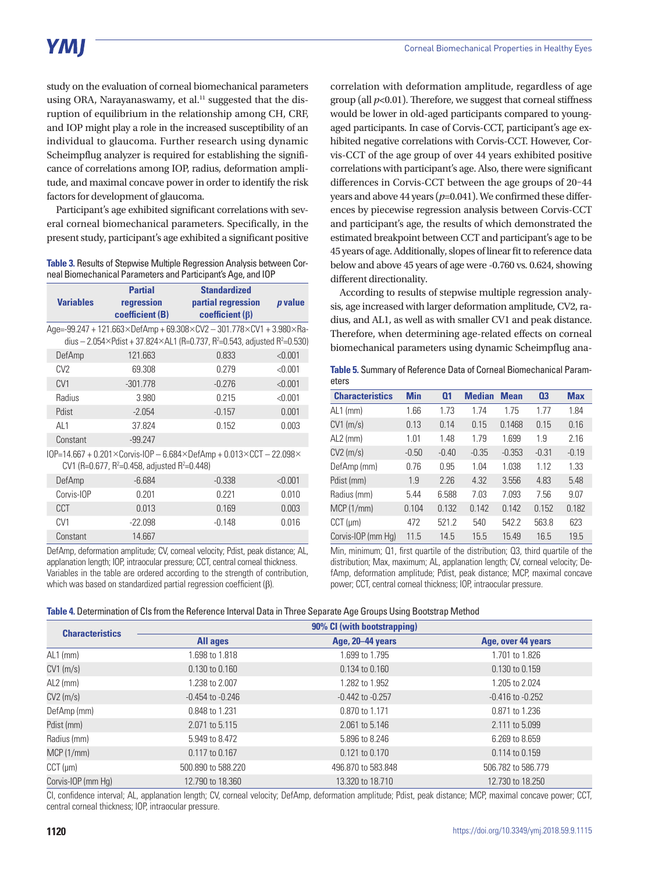study on the evaluation of corneal biomechanical parameters using ORA, Narayanaswamy, et al. $11$  suggested that the disruption of equilibrium in the relationship among CH, CRF, and IOP might play a role in the increased susceptibility of an individual to glaucoma. Further research using dynamic Scheimpflug analyzer is required for establishing the significance of correlations among IOP, radius, deformation amplitude, and maximal concave power in order to identify the risk factors for development of glaucoma.

Participant's age exhibited significant correlations with several corneal biomechanical parameters. Specifically, in the present study, participant's age exhibited a significant positive

| <b>Table 3.</b> Results of Stepwise Multiple Regression Analysis between Cor- |
|-------------------------------------------------------------------------------|
| neal Biomechanical Parameters and Participant's Age, and IOP                  |

| <b>Variables</b> | <b>Partial</b><br>regression<br>coefficient (B) | <b>Standardized</b><br>partial regression<br>coefficient $(\beta)$                                                                                                      | <i>p</i> value |
|------------------|-------------------------------------------------|-------------------------------------------------------------------------------------------------------------------------------------------------------------------------|----------------|
|                  |                                                 | Age=-99.247 + 121.663×DefAmp + 69.308×CV2 - 301.778×CV1 + 3.980×Ra-<br>dius - 2.054×Pdist + 37.824×AL1 (R=0.737, R <sup>2</sup> =0.543, adjusted R <sup>2</sup> =0.530) |                |
| DefAmp           | 121.663                                         | 0.833                                                                                                                                                                   | < 0.001        |
| C <sub>N</sub> 2 | 69308                                           | 0.279                                                                                                                                                                   | $<$ 0 0 0 1    |
| CVI              | $-301.778$                                      | $-0.276$                                                                                                                                                                | < 0.001        |
| Radius           | 3.980                                           | 0.215                                                                                                                                                                   | < 0.001        |
| Pdist            | $-2.054$                                        | $-0.157$                                                                                                                                                                | 0.001          |
| AI 1             | 37824                                           | 0.152                                                                                                                                                                   | 0.003          |
| Constant         | $-99.247$                                       |                                                                                                                                                                         |                |

IOP=14.667 + 0.201×Corvis-IOP – 6.684×DefAmp + 0.013×CCT – 22.098× CV1 (R=0.677, R<sup>2</sup>=0.458, adjusted R<sup>2</sup>=0.448)

| DefAmp     | $-6.684$  | $-0.338$ | < 0.001 |
|------------|-----------|----------|---------|
| Corvis-IOP | 0.201     | 0 221    | 0.010   |
| CCT        | 0.013     | 0169     | 0.003   |
| CV1        | $-22.098$ | $-0.148$ | 0.016   |
| Constant   | 14.667    |          |         |

DefAmp, deformation amplitude; CV, corneal velocity; Pdist, peak distance; AL, applanation length; IOP, intraocular pressure; CCT, central corneal thickness. Variables in the table are ordered according to the strength of contribution, which was based on standardized partial regression coefficient (β).

correlation with deformation amplitude, regardless of age group (all  $p<0.01$ ). Therefore, we suggest that corneal stiffness would be lower in old-aged participants compared to youngaged participants. In case of Corvis-CCT, participant's age exhibited negative correlations with Corvis-CCT. However, Corvis-CCT of the age group of over 44 years exhibited positive correlations with participant's age. Also, there were significant differences in Corvis-CCT between the age groups of 20–44 years and above 44 years  $(p=0.041)$ . We confirmed these differences by piecewise regression analysis between Corvis-CCT and participant's age, the results of which demonstrated the estimated breakpoint between CCT and participant's age to be 45 years of age. Additionally, slopes of linear fit to reference data below and above 45 years of age were -0.760 vs. 0.624, showing different directionality.

According to results of stepwise multiple regression analysis, age increased with larger deformation amplitude, CV2, radius, and AL1, as well as with smaller CV1 and peak distance. Therefore, when determining age-related effects on corneal biomechanical parameters using dynamic Scheimpflug ana-

**Table 5.** Summary of Reference Data of Corneal Biomechanical Parameters

| <b>Characteristics</b> | <b>Min</b> | Q <sub>1</sub> | <b>Median</b> | <b>Mean</b> | 0 <sub>3</sub> | <b>Max</b> |
|------------------------|------------|----------------|---------------|-------------|----------------|------------|
| $AL1$ (mm)             | 1.66       | 1.73           | 1.74          | 175         | 1.77           | 1.84       |
| CV1(m/s)               | 0.13       | 0.14           | 0.15          | 0.1468      | 0.15           | 0.16       |
| $AL2$ (mm)             | 1.01       | 1.48           | 1.79          | 1.699       | 1.9            | 2.16       |
| $CV2$ (m/s)            | $-0.50$    | $-0.40$        | $-0.35$       | $-0.353$    | $-0.31$        | $-0.19$    |
| DefAmp (mm)            | 0.76       | 0.95           | 1.04          | 1.038       | 1.12           | 1.33       |
| Pdist (mm)             | 1.9        | 2.26           | 4.32          | 3.556       | 4.83           | 5.48       |
| Radius (mm)            | 5.44       | 6.588          | 7.03          | 7.093       | 7.56           | 9.07       |
| MCP(1/mm)              | 0.104      | 0.132          | 0.142         | 0.142       | 0.152          | 0.182      |
| $CCT$ ( $\mu$ m)       | 472        | 521.2          | 540           | 542.2       | 563.8          | 623        |
| Corvis-IOP (mm Hq)     | 11.5       | 145            | 15.5          | 15.49       | 16.5           | 19.5       |

Min, minimum; Q1, first quartile of the distribution; Q3, third quartile of the distribution; Max, maximum; AL, applanation length; CV, corneal velocity; DefAmp, deformation amplitude; Pdist, peak distance; MCP, maximal concave power; CCT, central corneal thickness; IOP, intraocular pressure.

| <b>Table 4</b> . Determination of CIs from the Reference Interval Data in Three Separate Age Groups Using Bootstrap Method |  |
|----------------------------------------------------------------------------------------------------------------------------|--|
|----------------------------------------------------------------------------------------------------------------------------|--|

| <b>Characteristics</b> |                      | 90% CI (with bootstrapping) |                      |
|------------------------|----------------------|-----------------------------|----------------------|
|                        | All ages             | Age, 20-44 years            | Age, over 44 years   |
| $AL1$ (mm)             | 1.698 to 1.818       | 1.699 to 1.795              | 1.701 to 1.826       |
| CV1(m/s)               | $0.130$ to $0.160$   | 0.134 to 0.160              | 0.130 to 0.159       |
| $AL2$ (mm)             | 1.238 to 2.007       | 1.282 to 1.952              | 1.205 to 2.024       |
| $CV2$ (m/s)            | $-0.454$ to $-0.246$ | $-0.442$ to $-0.257$        | $-0.416$ to $-0.252$ |
| DefAmp (mm)            | 0.848 to 1.231       | 0.870 to 1.171              | 0.871 to 1.236       |
| Pdist (mm)             | 2.071 to 5.115       | 2.061 to 5.146              | 2.111 to 5.099       |
| Radius (mm)            | 5.949 to 8.472       | 5.896 to 8.246              | 6.269 to 8.659       |
| MCP(1/mm)              | 0.117 to 0.167       | 0.121 to 0.170              | 0.114 to 0.159       |
| $CCT$ ( $\mu$ m)       | 500,890 to 588,220   | 496,870 to 583,848          | 506,782 to 586,779   |
| Corvis-IOP (mm Hq)     | 12.790 to 18.360     | 13.320 to 18.710            | 12.730 to 18.250     |

CI, confidence interval; AL, applanation length; CV, corneal velocity; DefAmp, deformation amplitude; Pdist, peak distance; MCP, maximal concave power; CCT, central corneal thickness; IOP, intraocular pressure.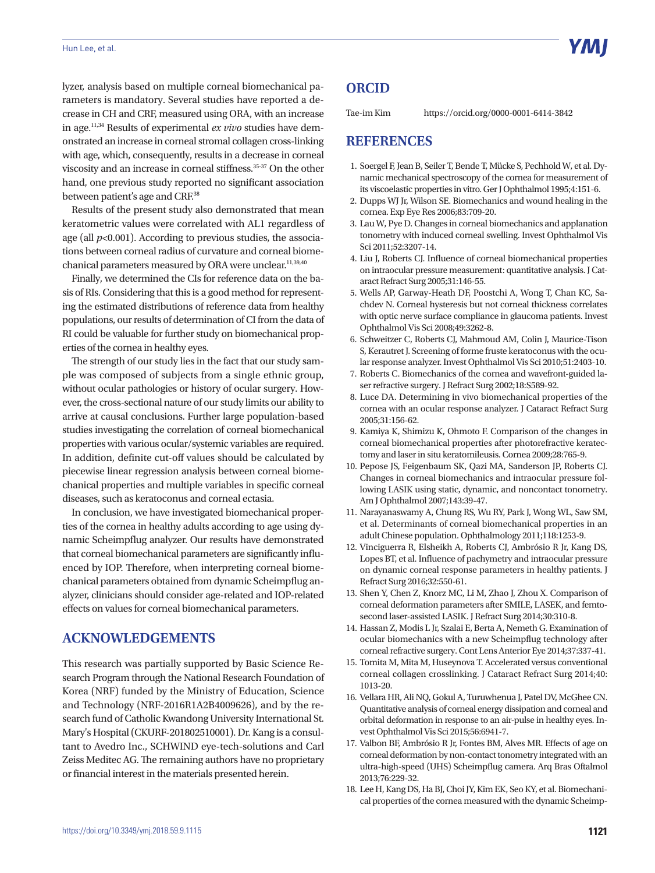lyzer, analysis based on multiple corneal biomechanical parameters is mandatory. Several studies have reported a decrease in CH and CRF, measured using ORA, with an increase in age.11,34 Results of experimental *ex vivo* studies have demonstrated an increase in corneal stromal collagen cross-linking with age, which, consequently, results in a decrease in corneal viscosity and an increase in corneal stiffness.<sup>35-37</sup> On the other hand, one previous study reported no significant association between patient's age and CRF.<sup>38</sup>

Results of the present study also demonstrated that mean keratometric values were correlated with AL1 regardless of age (all *p*<0.001). According to previous studies, the associations between corneal radius of curvature and corneal biomechanical parameters measured by ORA were unclear.<sup>11,39,40</sup>

Finally, we determined the CIs for reference data on the basis of RIs. Considering that this is a good method for representing the estimated distributions of reference data from healthy populations, our results of determination of CI from the data of RI could be valuable for further study on biomechanical properties of the cornea in healthy eyes.

The strength of our study lies in the fact that our study sample was composed of subjects from a single ethnic group, without ocular pathologies or history of ocular surgery. However, the cross-sectional nature of our study limits our ability to arrive at causal conclusions. Further large population-based studies investigating the correlation of corneal biomechanical properties with various ocular/systemic variables are required. In addition, definite cut-off values should be calculated by piecewise linear regression analysis between corneal biomechanical properties and multiple variables in specific corneal diseases, such as keratoconus and corneal ectasia.

In conclusion, we have investigated biomechanical properties of the cornea in healthy adults according to age using dynamic Scheimpflug analyzer. Our results have demonstrated that corneal biomechanical parameters are significantly influenced by IOP. Therefore, when interpreting corneal biomechanical parameters obtained from dynamic Scheimpflug analyzer, clinicians should consider age-related and IOP-related effects on values for corneal biomechanical parameters.

## **ACKNOWLEDGEMENTS**

This research was partially supported by Basic Science Research Program through the National Research Foundation of Korea (NRF) funded by the Ministry of Education, Science and Technology (NRF-2016R1A2B4009626), and by the research fund of Catholic Kwandong University International St. Mary's Hospital (CKURF-201802510001). Dr. Kang is a consultant to Avedro Inc., SCHWIND eye-tech-solutions and Carl Zeiss Meditec AG. The remaining authors have no proprietary or financial interest in the materials presented herein.

### **ORCID**

Tae-im Kim https://orcid.org/0000-0001-6414-3842

## **REFERENCES**

- 1. Soergel F, Jean B, Seiler T, Bende T, Mücke S, Pechhold W, et al. Dynamic mechanical spectroscopy of the cornea for measurement of its viscoelastic properties in vitro. Ger J Ophthalmol 1995;4:151-6.
- 2. Dupps WJ Jr, Wilson SE. Biomechanics and wound healing in the cornea. Exp Eye Res 2006;83:709-20.
- 3. Lau W, Pye D. Changes in corneal biomechanics and applanation tonometry with induced corneal swelling. Invest Ophthalmol Vis Sci 2011;52:3207-14.
- 4. Liu J, Roberts CJ. Influence of corneal biomechanical properties on intraocular pressure measurement: quantitative analysis. J Cataract Refract Surg 2005;31:146-55.
- 5. Wells AP, Garway-Heath DF, Poostchi A, Wong T, Chan KC, Sachdev N. Corneal hysteresis but not corneal thickness correlates with optic nerve surface compliance in glaucoma patients. Invest Ophthalmol Vis Sci 2008;49:3262-8.
- 6. Schweitzer C, Roberts CJ, Mahmoud AM, Colin J, Maurice-Tison S, Kerautret J. Screening of forme fruste keratoconus with the ocular response analyzer. Invest Ophthalmol Vis Sci 2010;51:2403-10.
- 7. Roberts C. Biomechanics of the cornea and wavefront-guided laser refractive surgery. J Refract Surg 2002;18:S589-92.
- 8. Luce DA. Determining in vivo biomechanical properties of the cornea with an ocular response analyzer. J Cataract Refract Surg 2005;31:156-62.
- 9. Kamiya K, Shimizu K, Ohmoto F. Comparison of the changes in corneal biomechanical properties after photorefractive keratectomy and laser in situ keratomileusis. Cornea 2009;28:765-9.
- 10. Pepose JS, Feigenbaum SK, Qazi MA, Sanderson JP, Roberts CJ. Changes in corneal biomechanics and intraocular pressure following LASIK using static, dynamic, and noncontact tonometry. Am J Ophthalmol 2007;143:39-47.
- 11. Narayanaswamy A, Chung RS, Wu RY, Park J, Wong WL, Saw SM, et al. Determinants of corneal biomechanical properties in an adult Chinese population. Ophthalmology 2011;118:1253-9.
- 12. Vinciguerra R, Elsheikh A, Roberts CJ, Ambrósio R Jr, Kang DS, Lopes BT, et al. Influence of pachymetry and intraocular pressure on dynamic corneal response parameters in healthy patients. J Refract Surg 2016;32:550-61.
- 13. Shen Y, Chen Z, Knorz MC, Li M, Zhao J, Zhou X. Comparison of corneal deformation parameters after SMILE, LASEK, and femtosecond laser-assisted LASIK. J Refract Surg 2014;30:310-8.
- 14. Hassan Z, Modis L Jr, Szalai E, Berta A, Nemeth G. Examination of ocular biomechanics with a new Scheimpflug technology after corneal refractive surgery. Cont Lens Anterior Eye 2014;37:337-41.
- 15. Tomita M, Mita M, Huseynova T. Accelerated versus conventional corneal collagen crosslinking. J Cataract Refract Surg 2014;40: 1013-20.
- 16. Vellara HR, Ali NQ, Gokul A, Turuwhenua J, Patel DV, McGhee CN. Quantitative analysis of corneal energy dissipation and corneal and orbital deformation in response to an air-pulse in healthy eyes. Invest Ophthalmol Vis Sci 2015;56:6941-7.
- 17. Valbon BF, Ambrósio R Jr, Fontes BM, Alves MR. Effects of age on corneal deformation by non-contact tonometry integrated with an ultra-high-speed (UHS) Scheimpflug camera. Arq Bras Oftalmol 2013;76:229-32.
- 18. Lee H, Kang DS, Ha BJ, Choi JY, Kim EK, Seo KY, et al. Biomechanical properties of the cornea measured with the dynamic Scheimp-